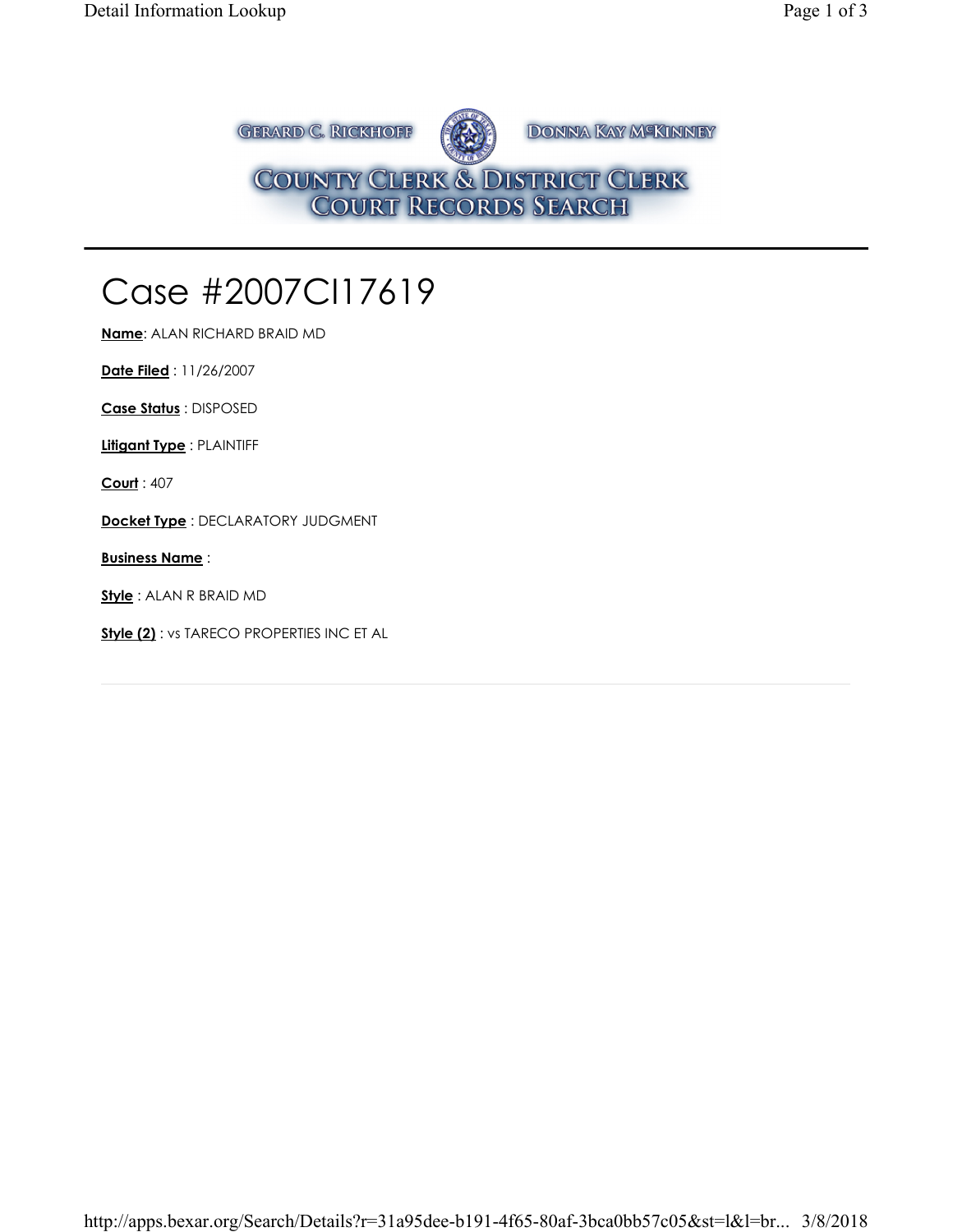**GERARD C. RICKHOFF** DONNA KAY M<sup>SKINNEY</sup> COUNTY CLERK & DISTRICT CLERK<br>COURT RECORDS SEARCH

## Case #2007CI17619

**Name**: ALAN RICHARD BRAID MD

**Date Filed** : 11/26/2007

**Case Status** : DISPOSED

**Litigant Type** : PLAINTIFF

**Court** : 407

**Docket Type** : DECLARATORY JUDGMENT

**Business Name** :

**Style** : ALAN R BRAID MD

**Style (2)** : vs TARECO PROPERTIES INC ET AL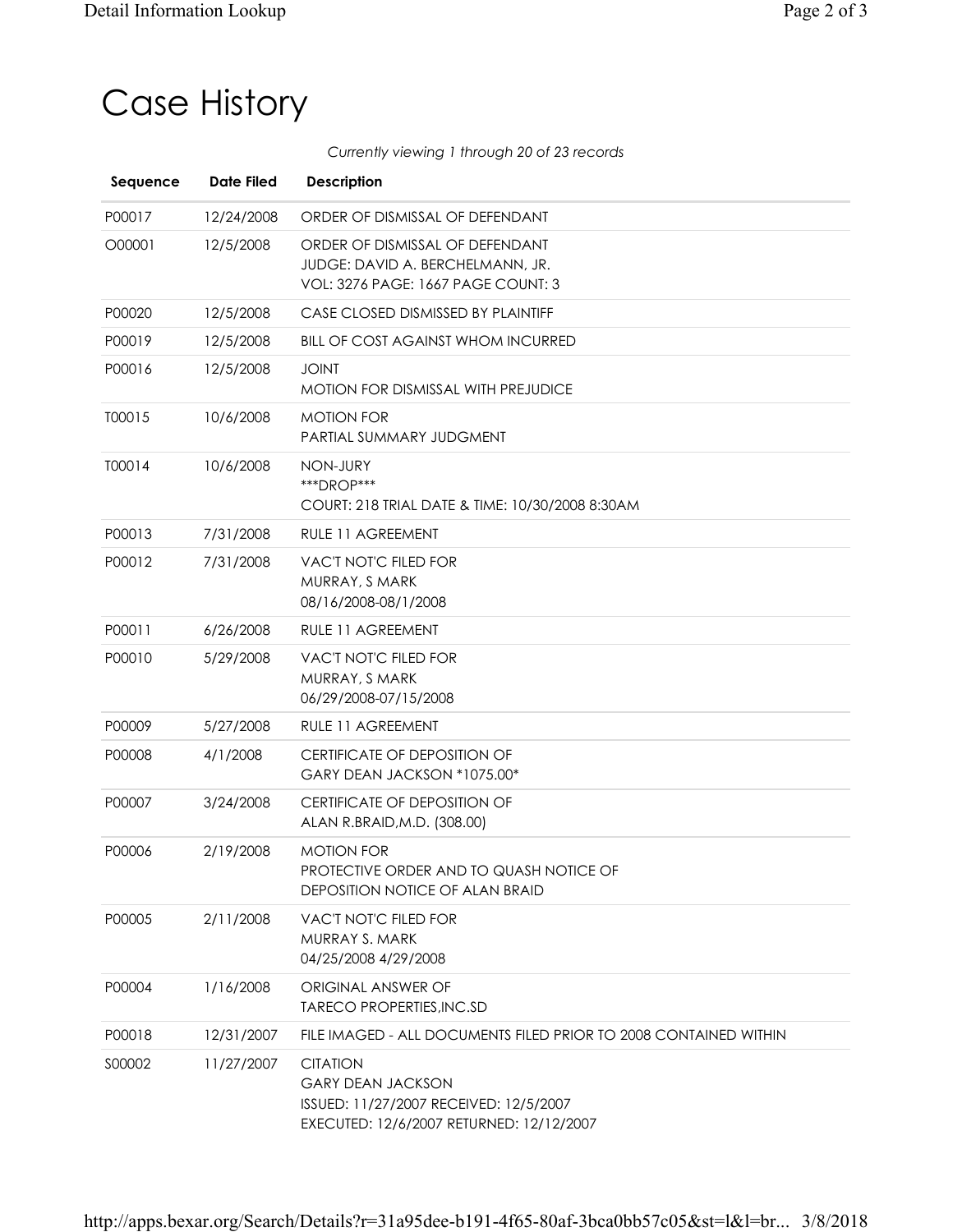## Case History

*Currently viewing 1 through 20 of 23 records*

| Sequence | <b>Date Filed</b> | <b>Description</b>                                                                                                                |
|----------|-------------------|-----------------------------------------------------------------------------------------------------------------------------------|
| P00017   | 12/24/2008        | ORDER OF DISMISSAL OF DEFENDANT                                                                                                   |
| O00001   | 12/5/2008         | ORDER OF DISMISSAL OF DEFENDANT<br>JUDGE: DAVID A. BERCHELMANN, JR.<br>VOL: 3276 PAGE: 1667 PAGE COUNT: 3                         |
| P00020   | 12/5/2008         | CASE CLOSED DISMISSED BY PLAINTIFF                                                                                                |
| P00019   | 12/5/2008         | <b>BILL OF COST AGAINST WHOM INCURRED</b>                                                                                         |
| P00016   | 12/5/2008         | <b>JOINT</b><br><b>MOTION FOR DISMISSAL WITH PREJUDICE</b>                                                                        |
| T00015   | 10/6/2008         | <b>MOTION FOR</b><br>PARTIAL SUMMARY JUDGMENT                                                                                     |
| T00014   | 10/6/2008         | NON-JURY<br>***DROP***<br>COURT: 218 TRIAL DATE & TIME: 10/30/2008 8:30AM                                                         |
| P00013   | 7/31/2008         | RULE 11 AGREEMENT                                                                                                                 |
| P00012   | 7/31/2008         | VAC'T NOT'C FILED FOR<br>MURRAY, S MARK<br>08/16/2008-08/1/2008                                                                   |
| P00011   | 6/26/2008         | RULE 11 AGREEMENT                                                                                                                 |
| P00010   | 5/29/2008         | VAC'T NOT'C FILED FOR<br>MURRAY, S MARK<br>06/29/2008-07/15/2008                                                                  |
| P00009   | 5/27/2008         | RULE 11 AGREEMENT                                                                                                                 |
| P00008   | 4/1/2008          | <b>CERTIFICATE OF DEPOSITION OF</b><br>GARY DEAN JACKSON *1075.00*                                                                |
| P00007   | 3/24/2008         | <b>CERTIFICATE OF DEPOSITION OF</b><br>ALAN R.BRAID, M.D. (308.00)                                                                |
| P00006   | 2/19/2008         | <b>MOTION FOR</b><br>PROTECTIVE ORDER AND TO QUASH NOTICE OF<br>DEPOSITION NOTICE OF ALAN BRAID                                   |
| P00005   | 2/11/2008         | VAC'T NOT'C FILED FOR<br>MURRAY S. MARK<br>04/25/2008 4/29/2008                                                                   |
| P00004   | 1/16/2008         | ORIGINAL ANSWER OF<br><b>TARECO PROPERTIES, INC.SD</b>                                                                            |
| P00018   | 12/31/2007        | FILE IMAGED - ALL DOCUMENTS FILED PRIOR TO 2008 CONTAINED WITHIN                                                                  |
| S00002   | 11/27/2007        | <b>CITATION</b><br><b>GARY DEAN JACKSON</b><br>ISSUED: 11/27/2007 RECEIVED: 12/5/2007<br>EXECUTED: 12/6/2007 RETURNED: 12/12/2007 |